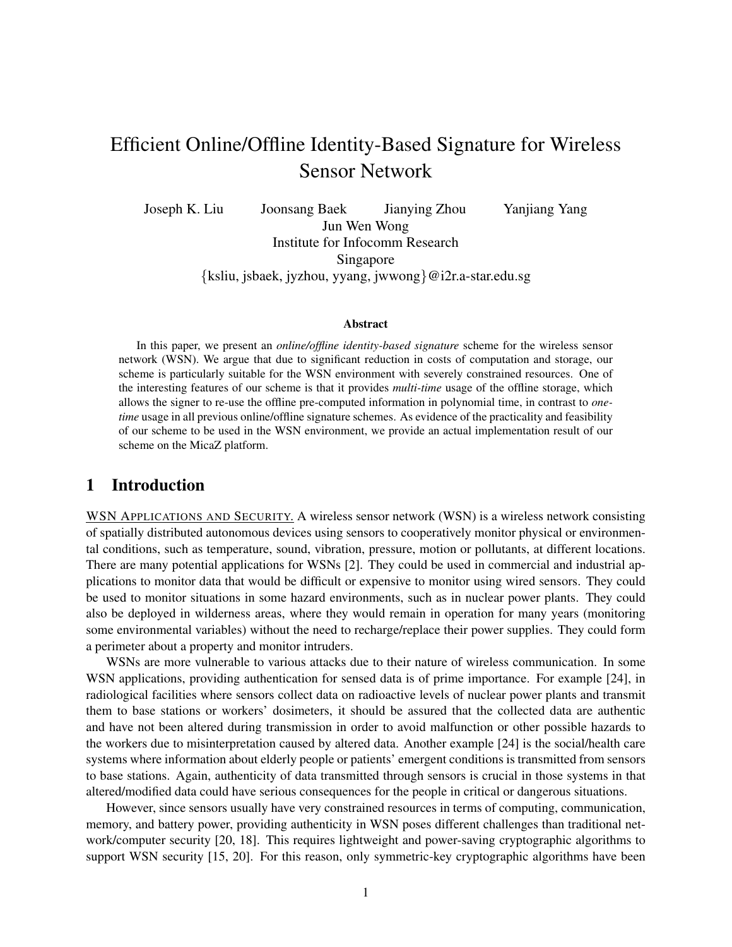# Efficient Online/Offline Identity-Based Signature for Wireless Sensor Network

Joseph K. Liu Joonsang Baek Jianying Zhou Yanjiang Yang Jun Wen Wong Institute for Infocomm Research Singapore {ksliu, jsbaek, jyzhou, yyang, jwwong}@i2r.a-star.edu.sg

#### Abstract

In this paper, we present an *online/offline identity-based signature* scheme for the wireless sensor network (WSN). We argue that due to significant reduction in costs of computation and storage, our scheme is particularly suitable for the WSN environment with severely constrained resources. One of the interesting features of our scheme is that it provides *multi-time* usage of the offline storage, which allows the signer to re-use the offline pre-computed information in polynomial time, in contrast to *onetime* usage in all previous online/offline signature schemes. As evidence of the practicality and feasibility of our scheme to be used in the WSN environment, we provide an actual implementation result of our scheme on the MicaZ platform.

# 1 Introduction

WSN APPLICATIONS AND SECURITY. A wireless sensor network (WSN) is a wireless network consisting of spatially distributed autonomous devices using sensors to cooperatively monitor physical or environmental conditions, such as temperature, sound, vibration, pressure, motion or pollutants, at different locations. There are many potential applications for WSNs [2]. They could be used in commercial and industrial applications to monitor data that would be difficult or expensive to monitor using wired sensors. They could be used to monitor situations in some hazard environments, such as in nuclear power plants. They could also be deployed in wilderness areas, where they would remain in operation for many years (monitoring some environmental variables) without the need to recharge/replace their power supplies. They could form a perimeter about a property and monitor intruders.

WSNs are more vulnerable to various attacks due to their nature of wireless communication. In some WSN applications, providing authentication for sensed data is of prime importance. For example [24], in radiological facilities where sensors collect data on radioactive levels of nuclear power plants and transmit them to base stations or workers' dosimeters, it should be assured that the collected data are authentic and have not been altered during transmission in order to avoid malfunction or other possible hazards to the workers due to misinterpretation caused by altered data. Another example [24] is the social/health care systems where information about elderly people or patients' emergent conditions is transmitted from sensors to base stations. Again, authenticity of data transmitted through sensors is crucial in those systems in that altered/modified data could have serious consequences for the people in critical or dangerous situations.

However, since sensors usually have very constrained resources in terms of computing, communication, memory, and battery power, providing authenticity in WSN poses different challenges than traditional network/computer security [20, 18]. This requires lightweight and power-saving cryptographic algorithms to support WSN security [15, 20]. For this reason, only symmetric-key cryptographic algorithms have been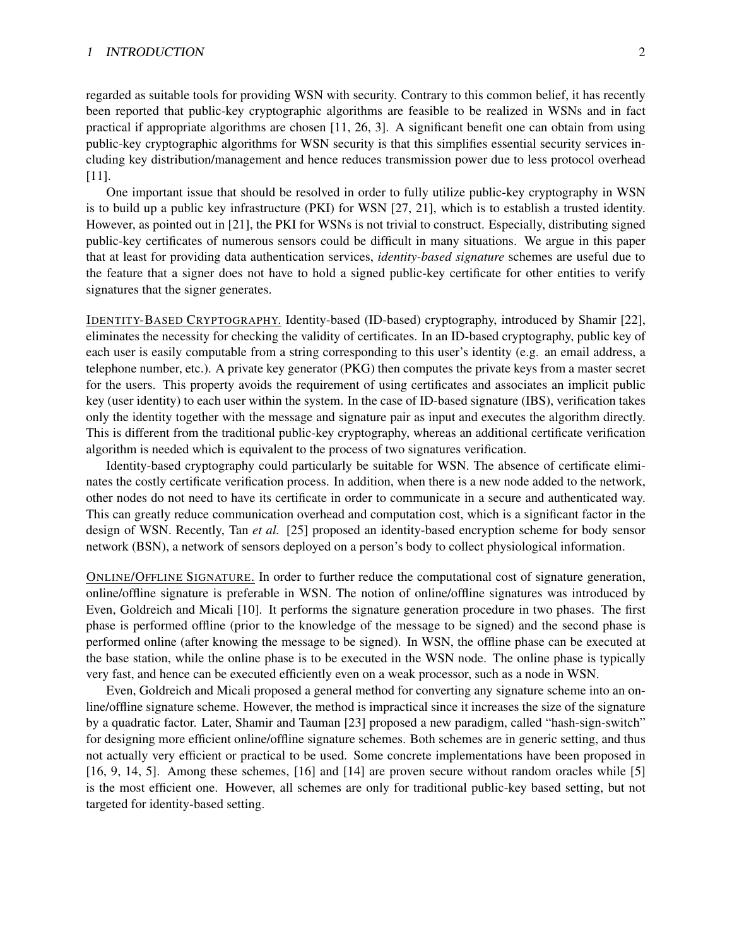#### 1 INTRODUCTION 2

regarded as suitable tools for providing WSN with security. Contrary to this common belief, it has recently been reported that public-key cryptographic algorithms are feasible to be realized in WSNs and in fact practical if appropriate algorithms are chosen [11, 26, 3]. A significant benefit one can obtain from using public-key cryptographic algorithms for WSN security is that this simplifies essential security services including key distribution/management and hence reduces transmission power due to less protocol overhead [11].

One important issue that should be resolved in order to fully utilize public-key cryptography in WSN is to build up a public key infrastructure (PKI) for WSN [27, 21], which is to establish a trusted identity. However, as pointed out in [21], the PKI for WSNs is not trivial to construct. Especially, distributing signed public-key certificates of numerous sensors could be difficult in many situations. We argue in this paper that at least for providing data authentication services, *identity-based signature* schemes are useful due to the feature that a signer does not have to hold a signed public-key certificate for other entities to verify signatures that the signer generates.

IDENTITY-BASED CRYPTOGRAPHY. Identity-based (ID-based) cryptography, introduced by Shamir [22], eliminates the necessity for checking the validity of certificates. In an ID-based cryptography, public key of each user is easily computable from a string corresponding to this user's identity (e.g. an email address, a telephone number, etc.). A private key generator (PKG) then computes the private keys from a master secret for the users. This property avoids the requirement of using certificates and associates an implicit public key (user identity) to each user within the system. In the case of ID-based signature (IBS), verification takes only the identity together with the message and signature pair as input and executes the algorithm directly. This is different from the traditional public-key cryptography, whereas an additional certificate verification algorithm is needed which is equivalent to the process of two signatures verification.

Identity-based cryptography could particularly be suitable for WSN. The absence of certificate eliminates the costly certificate verification process. In addition, when there is a new node added to the network, other nodes do not need to have its certificate in order to communicate in a secure and authenticated way. This can greatly reduce communication overhead and computation cost, which is a significant factor in the design of WSN. Recently, Tan *et al.* [25] proposed an identity-based encryption scheme for body sensor network (BSN), a network of sensors deployed on a person's body to collect physiological information.

ONLINE/OFFLINE SIGNATURE. In order to further reduce the computational cost of signature generation, online/offline signature is preferable in WSN. The notion of online/offline signatures was introduced by Even, Goldreich and Micali [10]. It performs the signature generation procedure in two phases. The first phase is performed offline (prior to the knowledge of the message to be signed) and the second phase is performed online (after knowing the message to be signed). In WSN, the offline phase can be executed at the base station, while the online phase is to be executed in the WSN node. The online phase is typically very fast, and hence can be executed efficiently even on a weak processor, such as a node in WSN.

Even, Goldreich and Micali proposed a general method for converting any signature scheme into an online/offline signature scheme. However, the method is impractical since it increases the size of the signature by a quadratic factor. Later, Shamir and Tauman [23] proposed a new paradigm, called "hash-sign-switch" for designing more efficient online/offline signature schemes. Both schemes are in generic setting, and thus not actually very efficient or practical to be used. Some concrete implementations have been proposed in [16, 9, 14, 5]. Among these schemes, [16] and [14] are proven secure without random oracles while [5] is the most efficient one. However, all schemes are only for traditional public-key based setting, but not targeted for identity-based setting.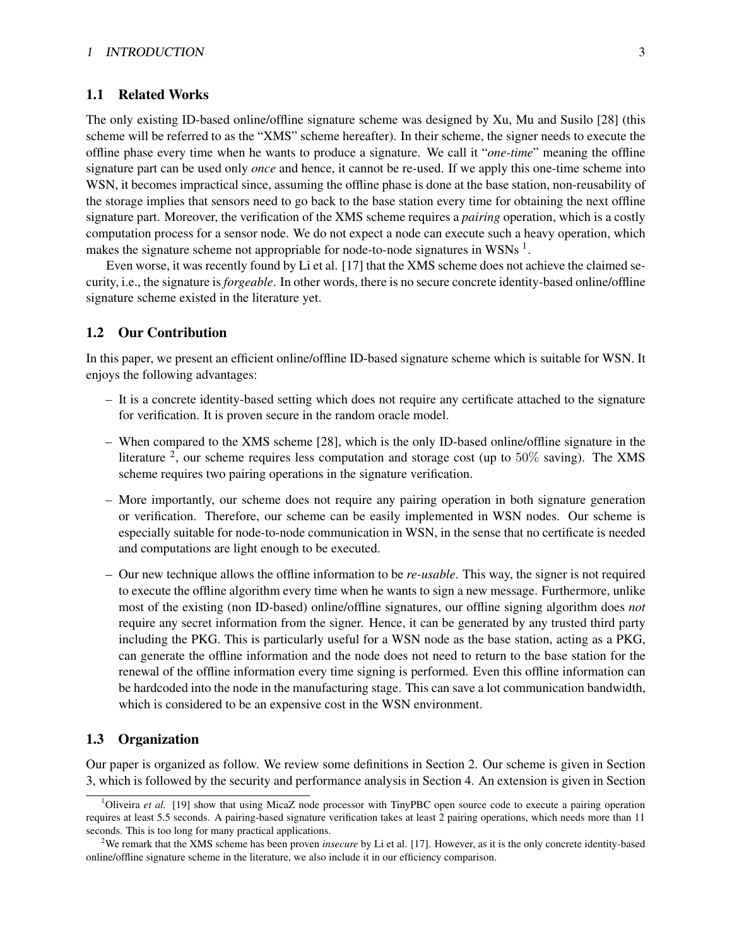### 1.1 Related Works

The only existing ID-based online/offline signature scheme was designed by Xu, Mu and Susilo [28] (this scheme will be referred to as the "XMS" scheme hereafter). In their scheme, the signer needs to execute the offline phase every time when he wants to produce a signature. We call it "*one-time*" meaning the offline signature part can be used only *once* and hence, it cannot be re-used. If we apply this one-time scheme into WSN, it becomes impractical since, assuming the offline phase is done at the base station, non-reusability of the storage implies that sensors need to go back to the base station every time for obtaining the next offline signature part. Moreover, the verification of the XMS scheme requires a *pairing* operation, which is a costly computation process for a sensor node. We do not expect a node can execute such a heavy operation, which makes the signature scheme not appropriable for node-to-node signatures in WSNs<sup>1</sup>.

Even worse, it was recently found by Li et al. [17] that the XMS scheme does not achieve the claimed security, i.e., the signature is *forgeable*. In other words, there is no secure concrete identity-based online/offline signature scheme existed in the literature yet.

### 1.2 Our Contribution

In this paper, we present an efficient online/offline ID-based signature scheme which is suitable for WSN. It enjoys the following advantages:

- It is a concrete identity-based setting which does not require any certificate attached to the signature for verification. It is proven secure in the random oracle model.
- When compared to the XMS scheme [28], which is the only ID-based online/offline signature in the literature <sup>2</sup>, our scheme requires less computation and storage cost (up to  $50\%$  saving). The XMS scheme requires two pairing operations in the signature verification.
- More importantly, our scheme does not require any pairing operation in both signature generation or verification. Therefore, our scheme can be easily implemented in WSN nodes. Our scheme is especially suitable for node-to-node communication in WSN, in the sense that no certificate is needed and computations are light enough to be executed.
- Our new technique allows the offline information to be *re-usable*. This way, the signer is not required to execute the offline algorithm every time when he wants to sign a new message. Furthermore, unlike most of the existing (non ID-based) online/offline signatures, our offline signing algorithm does *not* require any secret information from the signer. Hence, it can be generated by any trusted third party including the PKG. This is particularly useful for a WSN node as the base station, acting as a PKG, can generate the offline information and the node does not need to return to the base station for the renewal of the offline information every time signing is performed. Even this offline information can be hardcoded into the node in the manufacturing stage. This can save a lot communication bandwidth, which is considered to be an expensive cost in the WSN environment.

### 1.3 Organization

Our paper is organized as follow. We review some definitions in Section 2. Our scheme is given in Section 3, which is followed by the security and performance analysis in Section 4. An extension is given in Section

<sup>1</sup>Oliveira *et al.* [19] show that using MicaZ node processor with TinyPBC open source code to execute a pairing operation requires at least 5.5 seconds. A pairing-based signature verification takes at least 2 pairing operations, which needs more than 11 seconds. This is too long for many practical applications.

<sup>2</sup>We remark that the XMS scheme has been proven *insecure* by Li et al. [17]. However, as it is the only concrete identity-based online/offline signature scheme in the literature, we also include it in our efficiency comparison.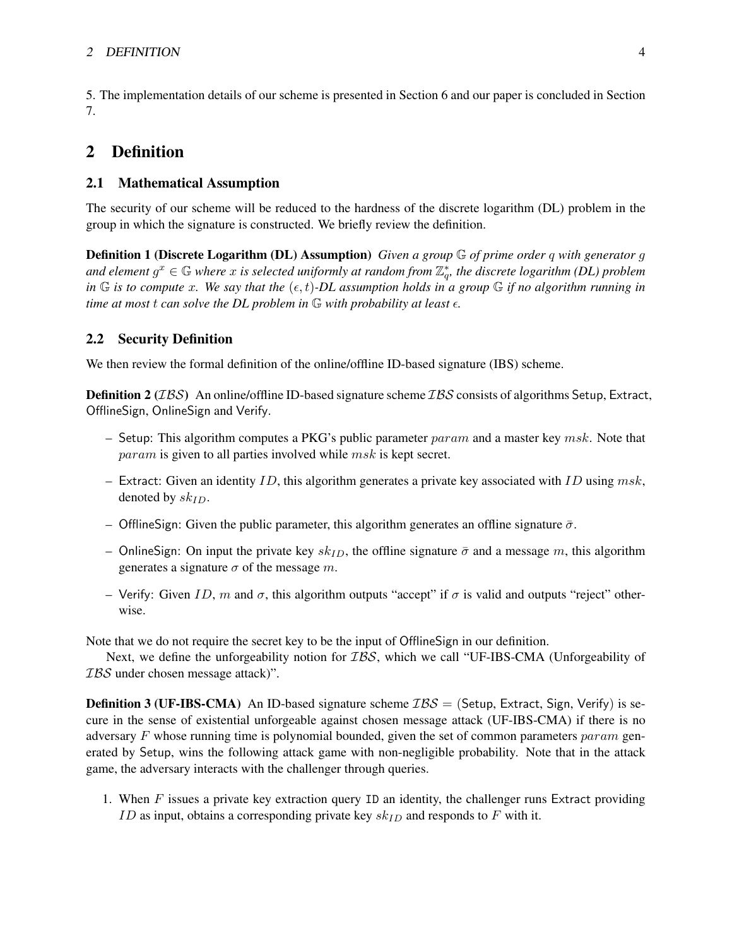### 2 DEFINITION 4

5. The implementation details of our scheme is presented in Section 6 and our paper is concluded in Section 7.

# 2 Definition

### 2.1 Mathematical Assumption

The security of our scheme will be reduced to the hardness of the discrete logarithm (DL) problem in the group in which the signature is constructed. We briefly review the definition.

Definition 1 (Discrete Logarithm (DL) Assumption) *Given a group* G *of prime order* q *with generator* g and element  $g^x \in \mathbb{G}$  where  $x$  is selected uniformly at random from  $\mathbb{Z}_q^*$ , the discrete logarithm (DL) problem *in*  $\mathbb{G}$  *is to compute x. We say that the*  $(\epsilon, t)$ -*DL assumption holds in a group*  $\mathbb{G}$  *if no algorithm running in time at most t can solve the DL problem in*  $\mathbb{G}$  *with probability at least*  $\epsilon$ *.* 

### 2.2 Security Definition

We then review the formal definition of the online/offline ID-based signature (IBS) scheme.

**Definition 2** ( $IBS$ ) An online/offline ID-based signature scheme  $IBS$  consists of algorithms Setup, Extract, OfflineSign, OnlineSign and Verify.

- Setup: This algorithm computes a PKG's public parameter  $param$  and a master key  $msk$ . Note that param is given to all parties involved while msk is kept secret.
- Extract: Given an identity ID, this algorithm generates a private key associated with ID using  $msk$ , denoted by  $sk_{ID}$ .
- OfflineSign: Given the public parameter, this algorithm generates an offline signature  $\bar{\sigma}$ .
- OnlineSign: On input the private key  $sk_{ID}$ , the offline signature  $\bar{\sigma}$  and a message m, this algorithm generates a signature  $\sigma$  of the message m.
- Verify: Given ID, m and  $\sigma$ , this algorithm outputs "accept" if  $\sigma$  is valid and outputs "reject" otherwise.

Note that we do not require the secret key to be the input of OfflineSign in our definition.

Next, we define the unforgeability notion for *IBS*, which we call "UF-IBS-CMA (Unforgeability of IBS under chosen message attack)".

**Definition 3 (UF-IBS-CMA)** An ID-based signature scheme  $\mathcal{IBS} =$  (Setup, Extract, Sign, Verify) is secure in the sense of existential unforgeable against chosen message attack (UF-IBS-CMA) if there is no adversary  $F$  whose running time is polynomial bounded, given the set of common parameters param generated by Setup, wins the following attack game with non-negligible probability. Note that in the attack game, the adversary interacts with the challenger through queries.

1. When F issues a private key extraction query ID an identity, the challenger runs Extract providing ID as input, obtains a corresponding private key  $sk_{ID}$  and responds to F with it.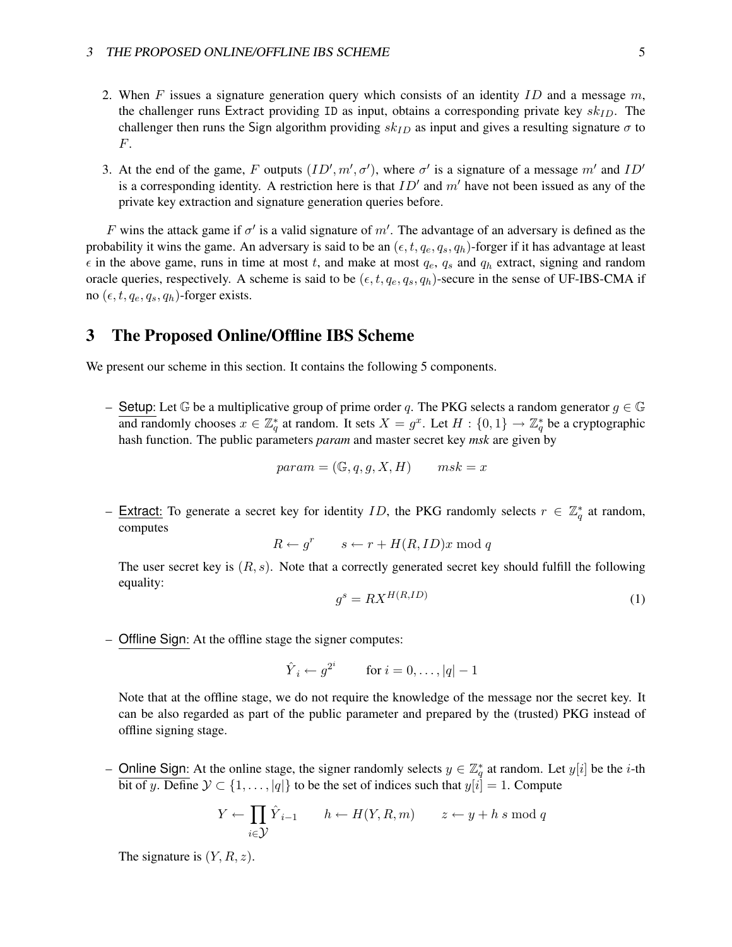- 2. When F issues a signature generation query which consists of an identity  $ID$  and a message  $m$ , the challenger runs Extract providing ID as input, obtains a corresponding private key  $sk_{ID}$ . The challenger then runs the Sign algorithm providing  $sk_{ID}$  as input and gives a resulting signature  $\sigma$  to F.
- 3. At the end of the game, F outputs  $(ID', m', \sigma')$ , where  $\sigma'$  is a signature of a message m' and  $ID'$ is a corresponding identity. A restriction here is that  $ID'$  and  $m'$  have not been issued as any of the private key extraction and signature generation queries before.

F wins the attack game if  $\sigma'$  is a valid signature of m'. The advantage of an adversary is defined as the probability it wins the game. An adversary is said to be an  $(\epsilon, t, q_e, q_s, q_h)$ -forger if it has advantage at least  $\epsilon$  in the above game, runs in time at most t, and make at most  $q_e$ ,  $q_s$  and  $q_h$  extract, signing and random oracle queries, respectively. A scheme is said to be  $(\epsilon, t, q_e, q_s, q_h)$ -secure in the sense of UF-IBS-CMA if no  $(\epsilon, t, q_e, q_s, q_h)$ -forger exists.

# 3 The Proposed Online/Offline IBS Scheme

We present our scheme in this section. It contains the following 5 components.

– Setup: Let  $\mathbb G$  be a multiplicative group of prime order q. The PKG selects a random generator  $g \in \mathbb G$ and randomly chooses  $x \in \mathbb{Z}_q^*$  at random. It sets  $X = g^x$ . Let  $H : \{0,1\} \to \mathbb{Z}_q^*$  be a cryptographic hash function. The public parameters *param* and master secret key *msk* are given by

$$
param = (\mathbb{G}, q, g, X, H) \qquad msk = x
$$

- Extract: To generate a secret key for identity *ID*, the PKG randomly selects  $r \in \mathbb{Z}_q^*$  at random, computes

 $R \leftarrow g^r \qquad s \leftarrow r + H(R, ID)x \bmod q$ 

The user secret key is  $(R, s)$ . Note that a correctly generated secret key should fulfill the following equality:

$$
g^s = RX^{H(R,ID)} \tag{1}
$$

– Offline Sign: At the offline stage the signer computes:

$$
\hat{Y}_i \leftarrow g^{2^i} \qquad \text{for } i = 0, \dots, |q| - 1
$$

Note that at the offline stage, we do not require the knowledge of the message nor the secret key. It can be also regarded as part of the public parameter and prepared by the (trusted) PKG instead of offline signing stage.

- Online Sign: At the online stage, the signer randomly selects  $y \in \mathbb{Z}_q^*$  at random. Let  $y[i]$  be the *i*-th bit of y. Define  $\mathcal{Y} \subset \{1, \ldots, |q|\}$  to be the set of indices such that  $y[i] = 1$ . Compute

$$
Y \leftarrow \prod_{i \in \mathcal{Y}} \hat{Y}_{i-1} \qquad h \leftarrow H(Y, R, m) \qquad z \leftarrow y + h \, s \mod q
$$

The signature is  $(Y, R, z)$ .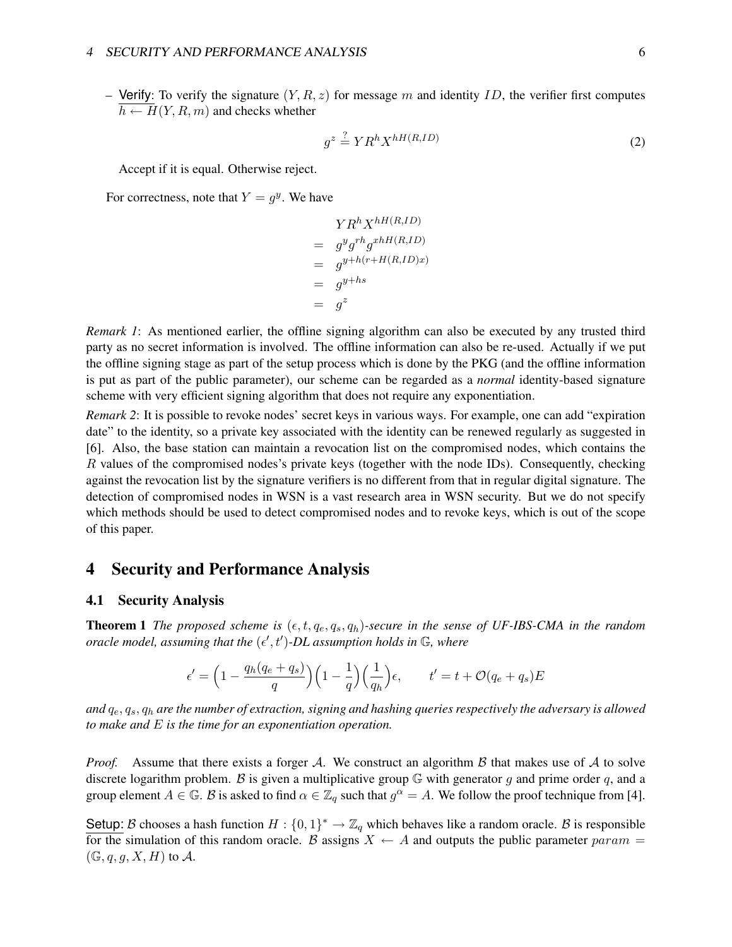– Verify: To verify the signature  $(Y, R, z)$  for message m and identity ID, the verifier first computes  $h \leftarrow H(Y, R, m)$  and checks whether

$$
g^z \stackrel{?}{=} Y R^h X^{hH(R, ID)} \tag{2}
$$

Accept if it is equal. Otherwise reject.

For correctness, note that  $Y = g^y$ . We have

$$
YR^{h}X^{hH(R, ID)}
$$
  
=  $g^{y}g^{rh}g^{xhH(R, ID)}$   
=  $g^{y+h(r+H(R, ID)x)}$   
=  $g^{y+hs}$   
=  $g^{z}$ 

*Remark 1*: As mentioned earlier, the offline signing algorithm can also be executed by any trusted third party as no secret information is involved. The offline information can also be re-used. Actually if we put the offline signing stage as part of the setup process which is done by the PKG (and the offline information is put as part of the public parameter), our scheme can be regarded as a *normal* identity-based signature scheme with very efficient signing algorithm that does not require any exponentiation.

*Remark 2*: It is possible to revoke nodes' secret keys in various ways. For example, one can add "expiration date" to the identity, so a private key associated with the identity can be renewed regularly as suggested in [6]. Also, the base station can maintain a revocation list on the compromised nodes, which contains the R values of the compromised nodes's private keys (together with the node IDs). Consequently, checking against the revocation list by the signature verifiers is no different from that in regular digital signature. The detection of compromised nodes in WSN is a vast research area in WSN security. But we do not specify which methods should be used to detect compromised nodes and to revoke keys, which is out of the scope of this paper.

## 4 Security and Performance Analysis

#### 4.1 Security Analysis

**Theorem 1** *The proposed scheme is*  $(\epsilon, t, q_e, q_s, q_h)$ -secure in the sense of UF-IBS-CMA in the random *oracle model, assuming that the*  $(\epsilon', t')$ -DL assumption holds in  $\mathbb{G}$ , where

$$
\epsilon' = \left(1 - \frac{q_h(q_e + q_s)}{q}\right)\left(1 - \frac{1}{q}\right)\left(\frac{1}{q_h}\right)\epsilon, \qquad t' = t + \mathcal{O}(q_e + q_s)E
$$

*and* qe, qs, q<sup>h</sup> *are the number of extraction, signing and hashing queries respectively the adversary is allowed to make and* E *is the time for an exponentiation operation.*

*Proof.* Assume that there exists a forger A. We construct an algorithm  $\beta$  that makes use of  $\mathcal A$  to solve discrete logarithm problem. B is given a multiplicative group  $\mathbb G$  with generator q and prime order q, and a group element  $A \in \mathbb{G}$ . B is asked to find  $\alpha \in \mathbb{Z}_q$  such that  $g^{\alpha} = A$ . We follow the proof technique from [4].

Setup: B chooses a hash function  $H: \{0,1\}^* \to \mathbb{Z}_q$  which behaves like a random oracle. B is responsible for the simulation of this random oracle. B assigns  $X \leftarrow A$  and outputs the public parameter param =  $(\mathbb{G}, q, g, X, H)$  to A.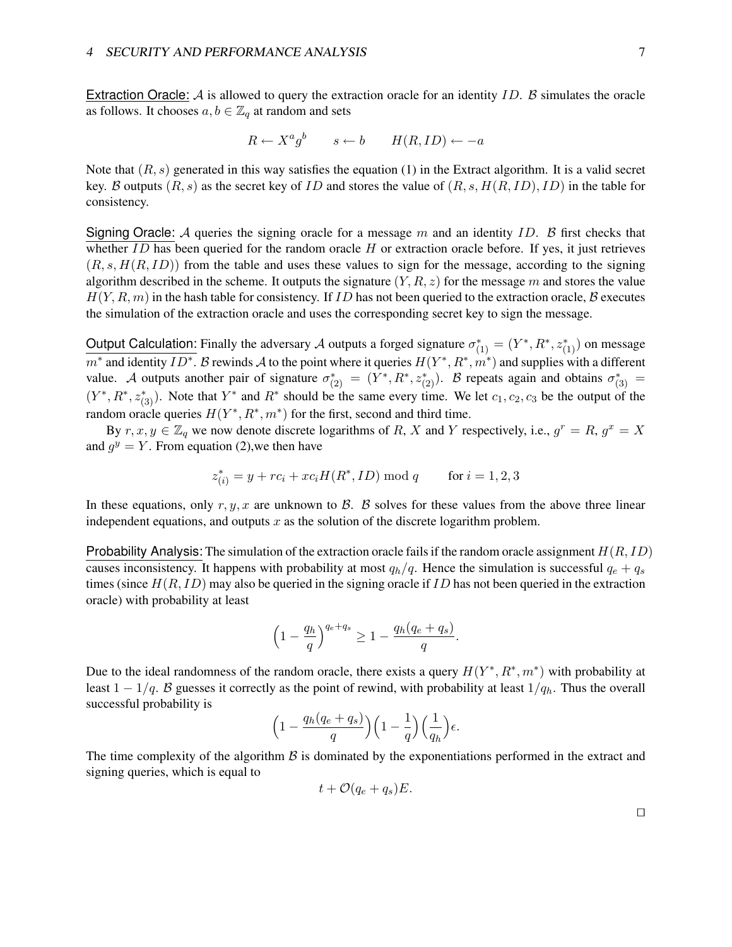Extraction Oracle:  $A$  is allowed to query the extraction oracle for an identity ID.  $B$  simulates the oracle as follows. It chooses  $a, b \in \mathbb{Z}_q$  at random and sets

$$
R \leftarrow X^a g^b \qquad s \leftarrow b \qquad H(R, ID) \leftarrow -a
$$

Note that  $(R, s)$  generated in this way satisfies the equation (1) in the Extract algorithm. It is a valid secret key. B outputs  $(R, s)$  as the secret key of ID and stores the value of  $(R, s, H(R, ID), ID)$  in the table for consistency.

Signing Oracle: A queries the signing oracle for a message m and an identity ID. B first checks that whether  $ID$  has been queried for the random oracle  $H$  or extraction oracle before. If yes, it just retrieves  $(R, s, H(R, ID))$  from the table and uses these values to sign for the message, according to the signing algorithm described in the scheme. It outputs the signature  $(Y, R, z)$  for the message m and stores the value  $H(Y, R, m)$  in the hash table for consistency. If ID has not been queried to the extraction oracle, B executes the simulation of the extraction oracle and uses the corresponding secret key to sign the message.

Output Calculation: Finally the adversary A outputs a forged signature  $\sigma_{(1)}^* = (Y^*, R^*, z_{(1)}^*)$  on message  $m^*$  and identity  $ID^*$ . B rewinds A to the point where it queries  $H(Y^*, R^*, m^*)$  and supplies with a different value. A outputs another pair of signature  $\sigma_{(2)}^* = (Y^*, R^*, z_{(2)}^*)$ . B repeats again and obtains  $\sigma_{(3)}^* =$  $(Y^*, R^*, z^*_{(3)})$ . Note that  $Y^*$  and  $R^*$  should be the same every time. We let  $c_1, c_2, c_3$  be the output of the random oracle queries  $H(Y^*, R^*, m^*)$  for the first, second and third time.

By  $r, x, y \in \mathbb{Z}_q$  we now denote discrete logarithms of R, X and Y respectively, i.e.,  $g^r = R$ ,  $g^x = X$ and  $g^y = Y$ . From equation (2), we then have

$$
z_{(i)}^* = y + rc_i + xc_iH(R^*, ID) \bmod q \qquad \text{for } i = 1, 2, 3
$$

In these equations, only r, y, x are unknown to  $\beta$ .  $\beta$  solves for these values from the above three linear independent equations, and outputs  $x$  as the solution of the discrete logarithm problem.

Probability Analysis: The simulation of the extraction oracle fails if the random oracle assignment  $H(R, ID)$ causes inconsistency. It happens with probability at most  $q_h/q$ . Hence the simulation is successful  $q_e + q_s$ times (since  $H(R, ID)$  may also be queried in the signing oracle if ID has not been queried in the extraction oracle) with probability at least

$$
\left(1 - \frac{q_h}{q}\right)^{q_e + q_s} \ge 1 - \frac{q_h(q_e + q_s)}{q}.
$$

Due to the ideal randomness of the random oracle, there exists a query  $H(Y^*, R^*, m^*)$  with probability at least  $1 - 1/q$ . B guesses it correctly as the point of rewind, with probability at least  $1/q_h$ . Thus the overall successful probability is

$$
\Big(1-\frac{q_h(q_e+q_s)}{q}\Big)\Big(1-\frac{1}{q}\Big)\Big(\frac{1}{q_h}\Big)\epsilon.
$$

The time complexity of the algorithm  $\beta$  is dominated by the exponentiations performed in the extract and signing queries, which is equal to

$$
t + \mathcal{O}(q_e + q_s)E.
$$

 $\Box$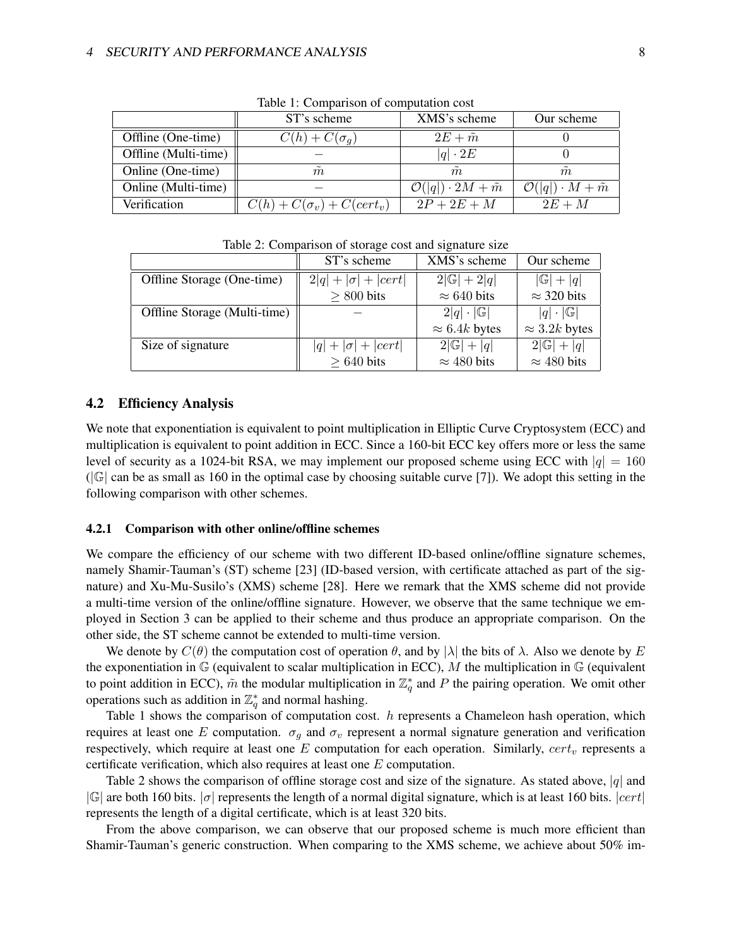|                      | ST's scheme                      | XMS's scheme                            | Our scheme                             |
|----------------------|----------------------------------|-----------------------------------------|----------------------------------------|
| Offline (One-time)   | $C(h) + C(\sigma_a)$             | $2E + \tilde{m}$                        |                                        |
| Offline (Multi-time) |                                  | $ q  \cdot 2E$                          |                                        |
| Online (One-time)    | $\tilde{\phantom{a}}$<br>m       | $\tilde{m}$                             | m                                      |
| Online (Multi-time)  |                                  | $\mathcal{O}( q ) \cdot 2M + \tilde{m}$ | $\mathcal{O}( q ) \cdot M + \tilde{m}$ |
| Verification         | $C(h) + C(\sigma_v) + C(cert_v)$ | $2P+2E+M$                               | $2E+M$                                 |

Table 1: Comparison of computation cost

| Table 2. Comparison of storage cost and signature size |                           |                         |                          |  |
|--------------------------------------------------------|---------------------------|-------------------------|--------------------------|--|
|                                                        | ST's scheme               | XMS's scheme            | Our scheme               |  |
| Offline Storage (One-time)                             | $2 q + \sigma + cert $    | $2 \mathbb{G} +2 q $    | $ \mathbb{G} + q $       |  |
|                                                        | $> 800$ bits              | $\approx 640$ bits      | $\approx$ 320 bits       |  |
| Offline Storage (Multi-time)                           |                           | $2 q \cdot \mathbb{G} $ | $ q  \cdot  \mathbb{G} $ |  |
|                                                        |                           | $\approx 6.4k$ bytes    | $\approx$ 3.2k bytes     |  |
| Size of signature                                      | $ q  +  \sigma  +  cert $ | $2 \mathbb{G} + q $     | $2 \mathbb{G} + q $      |  |
|                                                        | $> 640$ bits              | $\approx$ 480 bits      | $\approx$ 480 bits       |  |

Table 2: Comparison of storage cost and signature size

### 4.2 Efficiency Analysis

We note that exponentiation is equivalent to point multiplication in Elliptic Curve Cryptosystem (ECC) and multiplication is equivalent to point addition in ECC. Since a 160-bit ECC key offers more or less the same level of security as a 1024-bit RSA, we may implement our proposed scheme using ECC with  $|q| = 160$  $(|\mathbb{G}|)$  can be as small as 160 in the optimal case by choosing suitable curve [7]). We adopt this setting in the following comparison with other schemes.

#### 4.2.1 Comparison with other online/offline schemes

We compare the efficiency of our scheme with two different ID-based online/offline signature schemes, namely Shamir-Tauman's (ST) scheme [23] (ID-based version, with certificate attached as part of the signature) and Xu-Mu-Susilo's (XMS) scheme [28]. Here we remark that the XMS scheme did not provide a multi-time version of the online/offline signature. However, we observe that the same technique we employed in Section 3 can be applied to their scheme and thus produce an appropriate comparison. On the other side, the ST scheme cannot be extended to multi-time version.

We denote by  $C(\theta)$  the computation cost of operation  $\theta$ , and by  $|\lambda|$  the bits of  $\lambda$ . Also we denote by E the exponentiation in  $\mathbb G$  (equivalent to scalar multiplication in ECC), M the multiplication in  $\mathbb G$  (equivalent to point addition in ECC),  $\tilde{m}$  the modular multiplication in  $\mathbb{Z}_q^*$  and P the pairing operation. We omit other operations such as addition in  $\mathbb{Z}_q^*$  and normal hashing.

Table 1 shows the comparison of computation cost. h represents a Chameleon hash operation, which requires at least one E computation.  $\sigma_q$  and  $\sigma_v$  represent a normal signature generation and verification respectively, which require at least one  $E$  computation for each operation. Similarly,  $cert_v$  represents a certificate verification, which also requires at least one E computation.

Table 2 shows the comparison of offline storage cost and size of the signature. As stated above,  $|q|$  and  $|\mathbb{G}|$  are both 160 bits.  $|\sigma|$  represents the length of a normal digital signature, which is at least 160 bits.  $|cert|$ represents the length of a digital certificate, which is at least 320 bits.

From the above comparison, we can observe that our proposed scheme is much more efficient than Shamir-Tauman's generic construction. When comparing to the XMS scheme, we achieve about 50% im-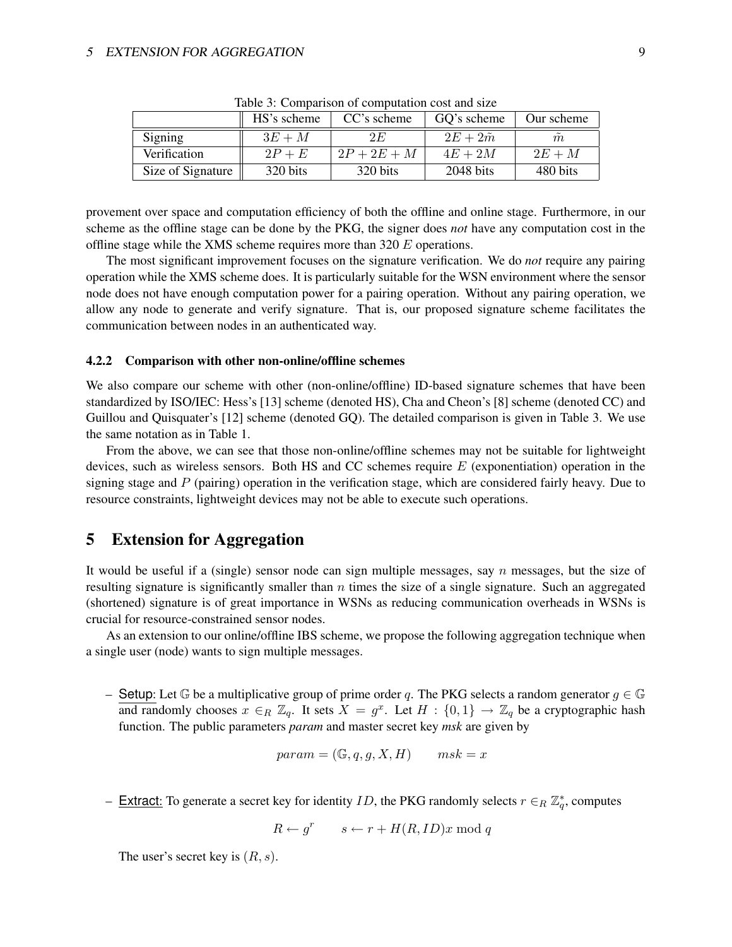|                   | HS's scheme | CC's scheme | GO's scheme | Our scheme |
|-------------------|-------------|-------------|-------------|------------|
| Signing           | $3E+M$      | 2 E         | $2E+2m$     | m          |
| Verification      | $2P + E$    | $2P+2E+M$   | $4E+2M$     | $2E+M$     |
| Size of Signature | 320 bits    | 320 bits    | $2048$ bits | 480 bits   |

Table 3: Comparison of computation cost and size

provement over space and computation efficiency of both the offline and online stage. Furthermore, in our scheme as the offline stage can be done by the PKG, the signer does *not* have any computation cost in the offline stage while the XMS scheme requires more than 320 E operations.

The most significant improvement focuses on the signature verification. We do *not* require any pairing operation while the XMS scheme does. It is particularly suitable for the WSN environment where the sensor node does not have enough computation power for a pairing operation. Without any pairing operation, we allow any node to generate and verify signature. That is, our proposed signature scheme facilitates the communication between nodes in an authenticated way.

#### 4.2.2 Comparison with other non-online/offline schemes

We also compare our scheme with other (non-online/offline) ID-based signature schemes that have been standardized by ISO/IEC: Hess's [13] scheme (denoted HS), Cha and Cheon's [8] scheme (denoted CC) and Guillou and Quisquater's [12] scheme (denoted GQ). The detailed comparison is given in Table 3. We use the same notation as in Table 1.

From the above, we can see that those non-online/offline schemes may not be suitable for lightweight devices, such as wireless sensors. Both HS and CC schemes require  $E$  (exponentiation) operation in the signing stage and  $P$  (pairing) operation in the verification stage, which are considered fairly heavy. Due to resource constraints, lightweight devices may not be able to execute such operations.

# 5 Extension for Aggregation

It would be useful if a (single) sensor node can sign multiple messages, say n messages, but the size of resulting signature is significantly smaller than  $n$  times the size of a single signature. Such an aggregated (shortened) signature is of great importance in WSNs as reducing communication overheads in WSNs is crucial for resource-constrained sensor nodes.

As an extension to our online/offline IBS scheme, we propose the following aggregation technique when a single user (node) wants to sign multiple messages.

– Setup: Let G be a multiplicative group of prime order q. The PKG selects a random generator  $g \in \mathbb{G}$ and randomly chooses  $x \in_R \mathbb{Z}_q$ . It sets  $X = g^x$ . Let  $H : \{0,1\} \to \mathbb{Z}_q$  be a cryptographic hash function. The public parameters *param* and master secret key *msk* are given by

$$
param = (\mathbb{G}, q, g, X, H) \qquad msk = x
$$

- Extract: To generate a secret key for identity *ID*, the PKG randomly selects  $r \in_R \mathbb{Z}_q^*$ , computes

$$
R \leftarrow g^r \qquad s \leftarrow r + H(R, ID)x \bmod q
$$

The user's secret key is  $(R, s)$ .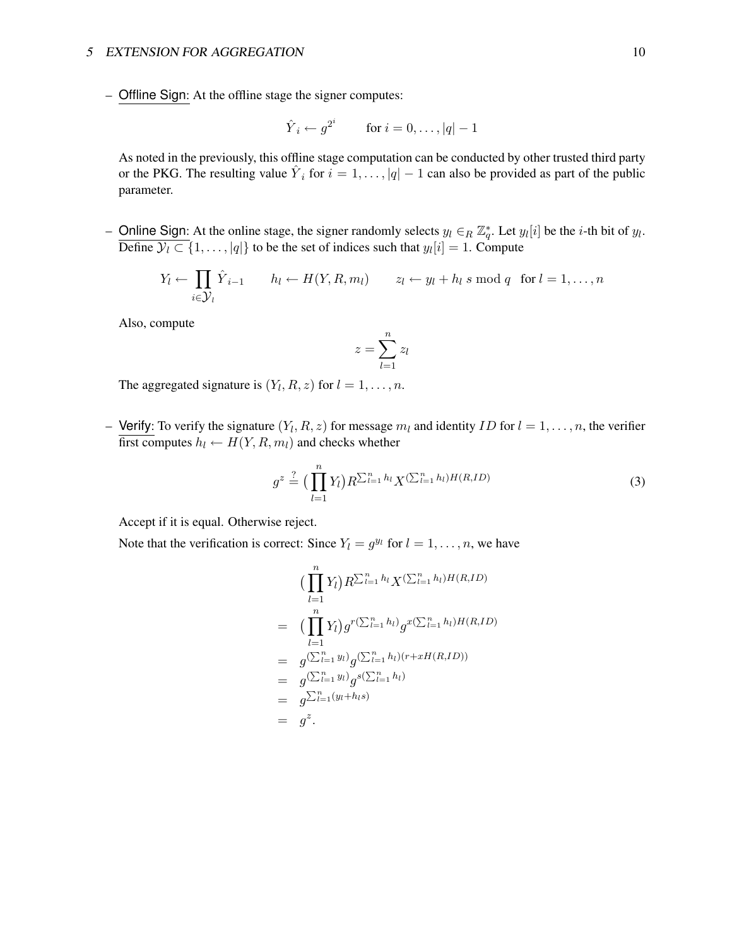– Offline Sign: At the offline stage the signer computes:

$$
\hat{Y}_i \leftarrow g^{2^i} \qquad \text{for } i = 0, \dots, |q| - 1
$$

As noted in the previously, this offline stage computation can be conducted by other trusted third party or the PKG. The resulting value  $\hat{Y}_i$  for  $i = 1, \ldots, |q| - 1$  can also be provided as part of the public parameter.

- Online Sign: At the online stage, the signer randomly selects  $y_l \in_R \mathbb{Z}_q^*$ . Let  $y_l[i]$  be the *i*-th bit of  $y_l$ . Define  $\mathcal{Y}_l \subset \{1, \ldots, |q|\}$  to be the set of indices such that  $y_l[i] = 1$ . Compute

$$
Y_l \leftarrow \prod_{i \in \mathcal{Y}_l} \hat{Y}_{i-1}
$$
  $h_l \leftarrow H(Y, R, m_l)$   $z_l \leftarrow y_l + h_l \text{ s mod } q \text{ for } l = 1, ..., n$ 

Also, compute

$$
z = \sum_{l=1}^{n} z_l
$$

The aggregated signature is  $(Y_l, R, z)$  for  $l = 1, \ldots, n$ .

- Verify: To verify the signature  $(Y_l, R, z)$  for message  $m_l$  and identity ID for  $l = 1, \ldots, n$ , the verifier first computes  $h_l \leftarrow H(Y, R, m_l)$  and checks whether

$$
g^{z} \stackrel{?}{=} \Big(\prod_{l=1}^{n} Y_{l}\Big) R^{\sum_{l=1}^{n} h_{l}} X^{(\sum_{l=1}^{n} h_{l})H(R,ID)}
$$
(3)

Accept if it is equal. Otherwise reject.

Note that the verification is correct: Since  $Y_l = g^{y_l}$  for  $l = 1, \ldots, n$ , we have

$$
\begin{aligned}\n &\left( \prod_{l=1}^{n} Y_{l} \right) R^{\sum_{l=1}^{n} h_{l}} X^{(\sum_{l=1}^{n} h_{l}) H(R, ID)} \\
&= \left( \prod_{l=1}^{n} Y_{l} \right) g^{r(\sum_{l=1}^{n} h_{l})} g^{x(\sum_{l=1}^{n} h_{l}) H(R, ID)} \\
&= g^{(\sum_{l=1}^{n} y_{l})} g^{(\sum_{l=1}^{n} h_{l}) (r + x H(R, ID))} \\
&= g^{(\sum_{l=1}^{n} y_{l})} g^{s(\sum_{l=1}^{n} h_{l})} \\
&= g^{z}.\n \end{aligned}
$$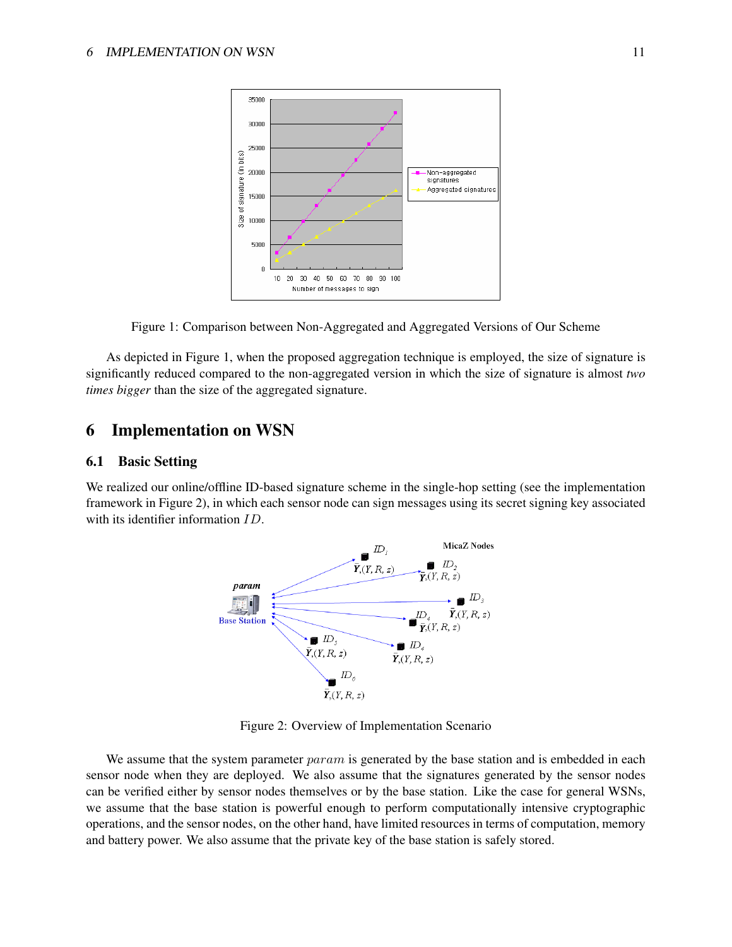

Figure 1: Comparison between Non-Aggregated and Aggregated Versions of Our Scheme

As depicted in Figure 1, when the proposed aggregation technique is employed, the size of signature is significantly reduced compared to the non-aggregated version in which the size of signature is almost *two times bigger* than the size of the aggregated signature.

# 6 Implementation on WSN

### 6.1 Basic Setting

We realized our online/offline ID-based signature scheme in the single-hop setting (see the implementation framework in Figure 2), in which each sensor node can sign messages using its secret signing key associated with its identifier information ID.



Figure 2: Overview of Implementation Scenario

We assume that the system parameter *param* is generated by the base station and is embedded in each sensor node when they are deployed. We also assume that the signatures generated by the sensor nodes can be verified either by sensor nodes themselves or by the base station. Like the case for general WSNs, we assume that the base station is powerful enough to perform computationally intensive cryptographic operations, and the sensor nodes, on the other hand, have limited resources in terms of computation, memory and battery power. We also assume that the private key of the base station is safely stored.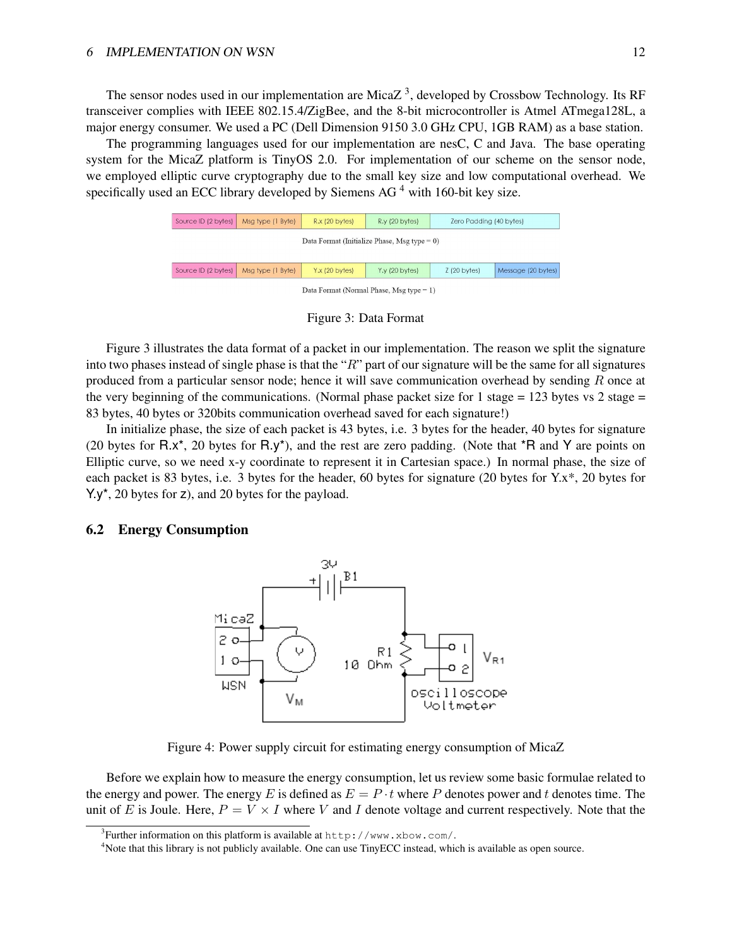The sensor nodes used in our implementation are Mica $Z<sup>3</sup>$ , developed by Crossbow Technology. Its RF transceiver complies with IEEE 802.15.4/ZigBee, and the 8-bit microcontroller is Atmel ATmega128L, a major energy consumer. We used a PC (Dell Dimension 9150 3.0 GHz CPU, 1GB RAM) as a base station.

The programming languages used for our implementation are nesC, C and Java. The base operating system for the MicaZ platform is TinyOS 2.0. For implementation of our scheme on the sensor node, we employed elliptic curve cryptography due to the small key size and low computational overhead. We specifically used an ECC library developed by Siemens AG<sup> $4$ </sup> with 160-bit key size.

| Source ID (2 bytes)                             | Msg type (1 Byte) | $R.x$ (20 bytes) | $R.y$ (20 bytes) | Zero Padding (40 bytes) |                    |
|-------------------------------------------------|-------------------|------------------|------------------|-------------------------|--------------------|
| Data Format (Initialize Phase, Msg type $= 0$ ) |                   |                  |                  |                         |                    |
|                                                 |                   |                  |                  |                         |                    |
| Source ID (2 bytes)                             | Msg type (1 Byte) | $Y.x$ (20 bytes) | $Y.y$ (20 bytes) | 2(20 bytes)             | Message (20 bytes) |
| Data Format (Normal Phase, Msg type $= 1$ )     |                   |                  |                  |                         |                    |

Figure 3: Data Format

Figure 3 illustrates the data format of a packet in our implementation. The reason we split the signature into two phases instead of single phase is that the " $R$ " part of our signature will be the same for all signatures produced from a particular sensor node; hence it will save communication overhead by sending  $R$  once at the very beginning of the communications. (Normal phase packet size for 1 stage =  $123$  bytes vs 2 stage = 83 bytes, 40 bytes or 320bits communication overhead saved for each signature!)

In initialize phase, the size of each packet is 43 bytes, i.e. 3 bytes for the header, 40 bytes for signature (20 bytes for  $R.x^*$ , 20 bytes for  $R.y^*$ ), and the rest are zero padding. (Note that  $^*R$  and Y are points on Elliptic curve, so we need x-y coordinate to represent it in Cartesian space.) In normal phase, the size of each packet is 83 bytes, i.e. 3 bytes for the header, 60 bytes for signature (20 bytes for Y.x\*, 20 bytes for Y.y\*, 20 bytes for z), and 20 bytes for the payload.

#### 6.2 Energy Consumption



Figure 4: Power supply circuit for estimating energy consumption of MicaZ

Before we explain how to measure the energy consumption, let us review some basic formulae related to the energy and power. The energy E is defined as  $E = P \cdot t$  where P denotes power and t denotes time. The unit of E is Joule. Here,  $P = V \times I$  where V and I denote voltage and current respectively. Note that the

<sup>&</sup>lt;sup>3</sup>Further information on this platform is available at  $http://www.xbow.com/.$ 

<sup>4</sup>Note that this library is not publicly available. One can use TinyECC instead, which is available as open source.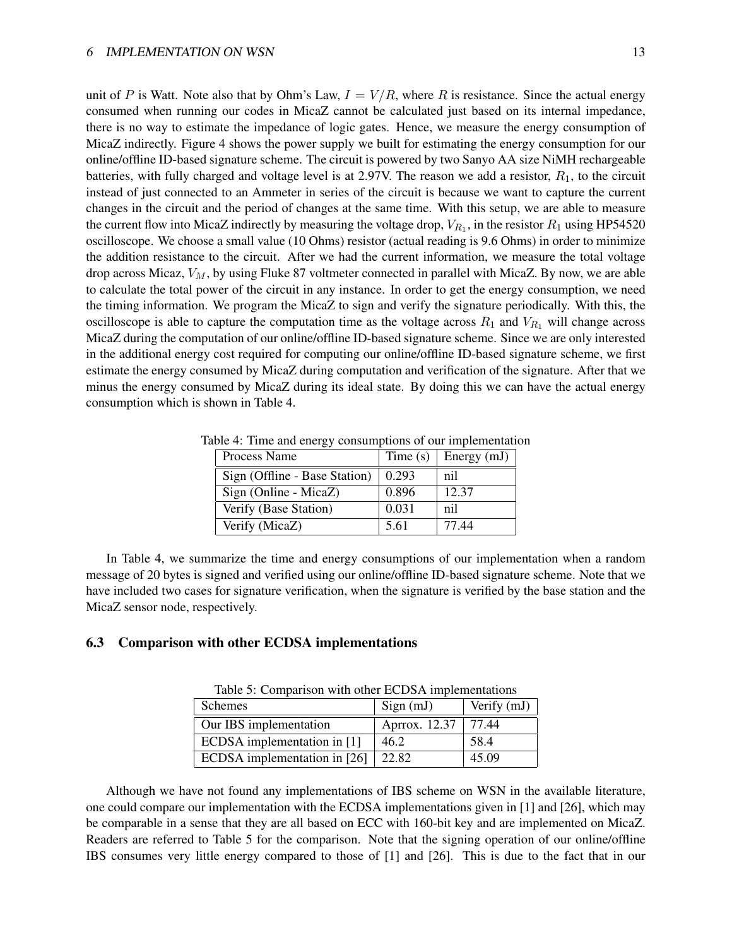unit of P is Watt. Note also that by Ohm's Law,  $I = V/R$ , where R is resistance. Since the actual energy consumed when running our codes in MicaZ cannot be calculated just based on its internal impedance, there is no way to estimate the impedance of logic gates. Hence, we measure the energy consumption of MicaZ indirectly. Figure 4 shows the power supply we built for estimating the energy consumption for our online/offline ID-based signature scheme. The circuit is powered by two Sanyo AA size NiMH rechargeable batteries, with fully charged and voltage level is at 2.97V. The reason we add a resistor,  $R_1$ , to the circuit instead of just connected to an Ammeter in series of the circuit is because we want to capture the current changes in the circuit and the period of changes at the same time. With this setup, we are able to measure the current flow into MicaZ indirectly by measuring the voltage drop,  $V_{R_1}$ , in the resistor  $R_1$  using HP54520 oscilloscope. We choose a small value (10 Ohms) resistor (actual reading is 9.6 Ohms) in order to minimize the addition resistance to the circuit. After we had the current information, we measure the total voltage drop across Micaz,  $V_M$ , by using Fluke 87 voltmeter connected in parallel with MicaZ. By now, we are able to calculate the total power of the circuit in any instance. In order to get the energy consumption, we need the timing information. We program the MicaZ to sign and verify the signature periodically. With this, the oscilloscope is able to capture the computation time as the voltage across  $R_1$  and  $V_{R_1}$  will change across MicaZ during the computation of our online/offline ID-based signature scheme. Since we are only interested in the additional energy cost required for computing our online/offline ID-based signature scheme, we first estimate the energy consumed by MicaZ during computation and verification of the signature. After that we minus the energy consumed by MicaZ during its ideal state. By doing this we can have the actual energy consumption which is shown in Table 4.

| Process Name                  | Time(s) | Energy (mJ) |
|-------------------------------|---------|-------------|
| Sign (Offline - Base Station) | 0.293   | nil         |
| Sign (Online - MicaZ)         | 0.896   | 12.37       |
| Verify (Base Station)         | 0.031   | nil         |
| Verify (MicaZ)                | 5.61    | 77.44       |

Table 4: Time and energy consumptions of our implementation

In Table 4, we summarize the time and energy consumptions of our implementation when a random message of 20 bytes is signed and verified using our online/offline ID-based signature scheme. Note that we have included two cases for signature verification, when the signature is verified by the base station and the MicaZ sensor node, respectively.

#### 6.3 Comparison with other ECDSA implementations

| Table 5. Comparison with other ECDSA implementations |                       |               |  |  |
|------------------------------------------------------|-----------------------|---------------|--|--|
| <b>Schemes</b>                                       | Sign(mJ)              | Verify $(mJ)$ |  |  |
| Our IBS implementation                               | Aprrox. 12.37   77.44 |               |  |  |
| ECDSA implementation in [1]                          | 46.2                  | 58.4          |  |  |
| ECDSA implementation in [26]                         | 22.82                 | 45.09         |  |  |

Table 5: Comparison with other ECDSA implementations

Although we have not found any implementations of IBS scheme on WSN in the available literature, one could compare our implementation with the ECDSA implementations given in [1] and [26], which may be comparable in a sense that they are all based on ECC with 160-bit key and are implemented on MicaZ. Readers are referred to Table 5 for the comparison. Note that the signing operation of our online/offline IBS consumes very little energy compared to those of [1] and [26]. This is due to the fact that in our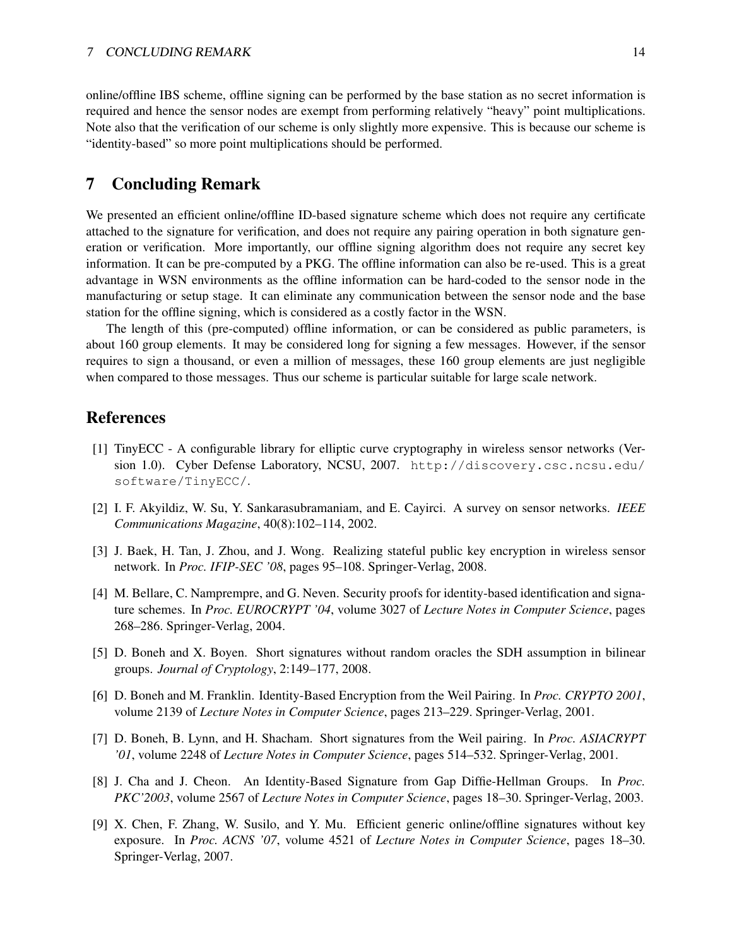online/offline IBS scheme, offline signing can be performed by the base station as no secret information is required and hence the sensor nodes are exempt from performing relatively "heavy" point multiplications. Note also that the verification of our scheme is only slightly more expensive. This is because our scheme is "identity-based" so more point multiplications should be performed.

# 7 Concluding Remark

We presented an efficient online/offline ID-based signature scheme which does not require any certificate attached to the signature for verification, and does not require any pairing operation in both signature generation or verification. More importantly, our offline signing algorithm does not require any secret key information. It can be pre-computed by a PKG. The offline information can also be re-used. This is a great advantage in WSN environments as the offline information can be hard-coded to the sensor node in the manufacturing or setup stage. It can eliminate any communication between the sensor node and the base station for the offline signing, which is considered as a costly factor in the WSN.

The length of this (pre-computed) offline information, or can be considered as public parameters, is about 160 group elements. It may be considered long for signing a few messages. However, if the sensor requires to sign a thousand, or even a million of messages, these 160 group elements are just negligible when compared to those messages. Thus our scheme is particular suitable for large scale network.

# **References**

- [1] TinyECC A configurable library for elliptic curve cryptography in wireless sensor networks (Version 1.0). Cyber Defense Laboratory, NCSU, 2007. http://discovery.csc.ncsu.edu/ software/TinyECC/.
- [2] I. F. Akyildiz, W. Su, Y. Sankarasubramaniam, and E. Cayirci. A survey on sensor networks. *IEEE Communications Magazine*, 40(8):102–114, 2002.
- [3] J. Baek, H. Tan, J. Zhou, and J. Wong. Realizing stateful public key encryption in wireless sensor network. In *Proc. IFIP-SEC '08*, pages 95–108. Springer-Verlag, 2008.
- [4] M. Bellare, C. Namprempre, and G. Neven. Security proofs for identity-based identification and signature schemes. In *Proc. EUROCRYPT '04*, volume 3027 of *Lecture Notes in Computer Science*, pages 268–286. Springer-Verlag, 2004.
- [5] D. Boneh and X. Boyen. Short signatures without random oracles the SDH assumption in bilinear groups. *Journal of Cryptology*, 2:149–177, 2008.
- [6] D. Boneh and M. Franklin. Identity-Based Encryption from the Weil Pairing. In *Proc. CRYPTO 2001*, volume 2139 of *Lecture Notes in Computer Science*, pages 213–229. Springer-Verlag, 2001.
- [7] D. Boneh, B. Lynn, and H. Shacham. Short signatures from the Weil pairing. In *Proc. ASIACRYPT '01*, volume 2248 of *Lecture Notes in Computer Science*, pages 514–532. Springer-Verlag, 2001.
- [8] J. Cha and J. Cheon. An Identity-Based Signature from Gap Diffie-Hellman Groups. In *Proc. PKC'2003*, volume 2567 of *Lecture Notes in Computer Science*, pages 18–30. Springer-Verlag, 2003.
- [9] X. Chen, F. Zhang, W. Susilo, and Y. Mu. Efficient generic online/offline signatures without key exposure. In *Proc. ACNS '07*, volume 4521 of *Lecture Notes in Computer Science*, pages 18–30. Springer-Verlag, 2007.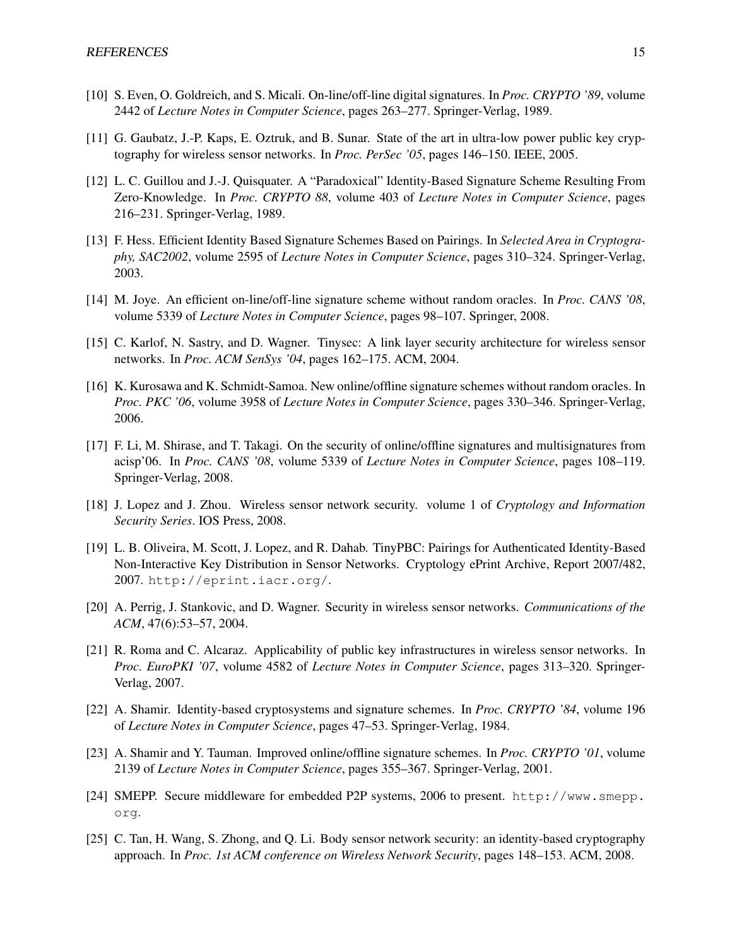- [10] S. Even, O. Goldreich, and S. Micali. On-line/off-line digital signatures. In *Proc. CRYPTO '89*, volume 2442 of *Lecture Notes in Computer Science*, pages 263–277. Springer-Verlag, 1989.
- [11] G. Gaubatz, J.-P. Kaps, E. Oztruk, and B. Sunar. State of the art in ultra-low power public key cryptography for wireless sensor networks. In *Proc. PerSec '05*, pages 146–150. IEEE, 2005.
- [12] L. C. Guillou and J.-J. Quisquater. A "Paradoxical" Identity-Based Signature Scheme Resulting From Zero-Knowledge. In *Proc. CRYPTO 88*, volume 403 of *Lecture Notes in Computer Science*, pages 216–231. Springer-Verlag, 1989.
- [13] F. Hess. Efficient Identity Based Signature Schemes Based on Pairings. In *Selected Area in Cryptography, SAC2002*, volume 2595 of *Lecture Notes in Computer Science*, pages 310–324. Springer-Verlag, 2003.
- [14] M. Joye. An efficient on-line/off-line signature scheme without random oracles. In *Proc. CANS '08*, volume 5339 of *Lecture Notes in Computer Science*, pages 98–107. Springer, 2008.
- [15] C. Karlof, N. Sastry, and D. Wagner. Tinysec: A link layer security architecture for wireless sensor networks. In *Proc. ACM SenSys '04*, pages 162–175. ACM, 2004.
- [16] K. Kurosawa and K. Schmidt-Samoa. New online/offline signature schemes without random oracles. In *Proc. PKC '06*, volume 3958 of *Lecture Notes in Computer Science*, pages 330–346. Springer-Verlag, 2006.
- [17] F. Li, M. Shirase, and T. Takagi. On the security of online/offline signatures and multisignatures from acisp'06. In *Proc. CANS '08*, volume 5339 of *Lecture Notes in Computer Science*, pages 108–119. Springer-Verlag, 2008.
- [18] J. Lopez and J. Zhou. Wireless sensor network security. volume 1 of *Cryptology and Information Security Series*. IOS Press, 2008.
- [19] L. B. Oliveira, M. Scott, J. Lopez, and R. Dahab. TinyPBC: Pairings for Authenticated Identity-Based Non-Interactive Key Distribution in Sensor Networks. Cryptology ePrint Archive, Report 2007/482, 2007. http://eprint.iacr.org/.
- [20] A. Perrig, J. Stankovic, and D. Wagner. Security in wireless sensor networks. *Communications of the ACM*, 47(6):53–57, 2004.
- [21] R. Roma and C. Alcaraz. Applicability of public key infrastructures in wireless sensor networks. In *Proc. EuroPKI '07*, volume 4582 of *Lecture Notes in Computer Science*, pages 313–320. Springer-Verlag, 2007.
- [22] A. Shamir. Identity-based cryptosystems and signature schemes. In *Proc. CRYPTO '84*, volume 196 of *Lecture Notes in Computer Science*, pages 47–53. Springer-Verlag, 1984.
- [23] A. Shamir and Y. Tauman. Improved online/offline signature schemes. In *Proc. CRYPTO '01*, volume 2139 of *Lecture Notes in Computer Science*, pages 355–367. Springer-Verlag, 2001.
- [24] SMEPP. Secure middleware for embedded P2P systems, 2006 to present. http://www.smepp. org.
- [25] C. Tan, H. Wang, S. Zhong, and Q. Li. Body sensor network security: an identity-based cryptography approach. In *Proc. 1st ACM conference on Wireless Network Security*, pages 148–153. ACM, 2008.